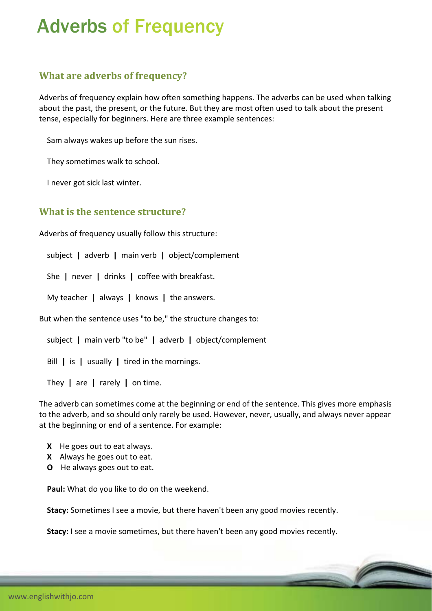## Adverbs of Frequency

## **What are adverbs of frequency?**

Adverbs of frequency explain how often something happens. The adverbs can be used when talking about the past, the present, or the future. But they are most often used to talk about the present tense, especially for beginners. Here are three example sentences:

Sam always wakes up before the sun rises.

They sometimes walk to school.

I never got sick last winter.

## **What is the sentence structure?**

Adverbs of frequency usually follow this structure:

subject **|** adverb **|** main verb **|** object/complement

She **|** never **|** drinks **|** coffee with breakfast.

My teacher **|** always **|** knows **|** the answers.

But when the sentence uses "to be," the structure changes to:

subject **|** main verb "to be" **|** adverb **|** object/complement

Bill **|** is **|** usually **|** tired in the mornings.

They **|** are **|** rarely **|** on time.

The adverb can sometimes come at the beginning or end of the sentence. This gives more emphasis to the adverb, and so should only rarely be used. However, never, usually, and always never appear at the beginning or end of a sentence. For example:

- **X** He goes out to eat always.
- **X** Always he goes out to eat.
- **O** He always goes out to eat.

**Paul:** What do you like to do on the weekend.

**Stacy:** Sometimes I see a movie, but there haven't been any good movies recently.

**Stacy:** I see a movie sometimes, but there haven't been any good movies recently.